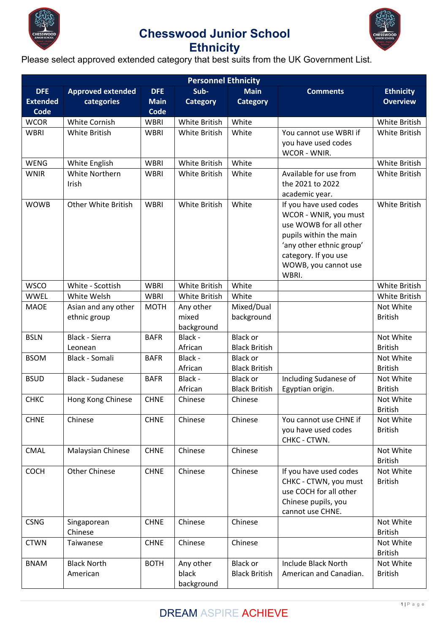



### **Ethnicity**

Please select approved extended category that best suits from the UK Government List.

| <b>Personnel Ethnicity</b>                   |                                        |                                   |                                  |                                         |                                                                                                                                                                                          |                                     |  |  |
|----------------------------------------------|----------------------------------------|-----------------------------------|----------------------------------|-----------------------------------------|------------------------------------------------------------------------------------------------------------------------------------------------------------------------------------------|-------------------------------------|--|--|
| <b>DFE</b><br><b>Extended</b><br><b>Code</b> | <b>Approved extended</b><br>categories | <b>DFE</b><br><b>Main</b><br>Code | Sub-<br><b>Category</b>          | <b>Main</b><br><b>Category</b>          | <b>Comments</b>                                                                                                                                                                          | <b>Ethnicity</b><br><b>Overview</b> |  |  |
| <b>WCOR</b>                                  | White Cornish                          | <b>WBRI</b>                       | <b>White British</b>             | White                                   |                                                                                                                                                                                          | White British                       |  |  |
| <b>WBRI</b>                                  | <b>White British</b>                   | <b>WBRI</b>                       | <b>White British</b>             | White                                   | You cannot use WBRI if<br>you have used codes<br>WCOR - WNIR.                                                                                                                            | White British                       |  |  |
| <b>WENG</b>                                  | White English                          | <b>WBRI</b>                       | White British                    | White                                   |                                                                                                                                                                                          | White British                       |  |  |
| <b>WNIR</b>                                  | <b>White Northern</b><br>Irish         | <b>WBRI</b>                       | White British                    | White                                   | Available for use from<br>the 2021 to 2022<br>academic year.                                                                                                                             | White British                       |  |  |
| <b>WOWB</b>                                  | <b>Other White British</b>             | <b>WBRI</b>                       | White British                    | White                                   | If you have used codes<br>WCOR - WNIR, you must<br>use WOWB for all other<br>pupils within the main<br>'any other ethnic group'<br>category. If you use<br>WOWB, you cannot use<br>WBRI. | White British                       |  |  |
| <b>WSCO</b>                                  | White - Scottish                       | <b>WBRI</b>                       | <b>White British</b>             | White                                   |                                                                                                                                                                                          | White British                       |  |  |
| <b>WWEL</b>                                  | White Welsh                            | <b>WBRI</b>                       | White British                    | White                                   |                                                                                                                                                                                          | White British                       |  |  |
| <b>MAOE</b>                                  | Asian and any other<br>ethnic group    | <b>MOTH</b>                       | Any other<br>mixed<br>background | Mixed/Dual<br>background                |                                                                                                                                                                                          | Not White<br><b>British</b>         |  |  |
| <b>BSLN</b>                                  | <b>Black - Sierra</b><br>Leonean       | <b>BAFR</b>                       | Black -<br>African               | <b>Black or</b><br><b>Black British</b> |                                                                                                                                                                                          | Not White<br><b>British</b>         |  |  |
| <b>BSOM</b>                                  | Black - Somali                         | <b>BAFR</b>                       | Black -<br>African               | <b>Black or</b><br><b>Black British</b> |                                                                                                                                                                                          | Not White<br><b>British</b>         |  |  |
| <b>BSUD</b>                                  | <b>Black - Sudanese</b>                | <b>BAFR</b>                       | Black -<br>African               | <b>Black or</b><br><b>Black British</b> | Including Sudanese of<br>Egyptian origin.                                                                                                                                                | Not White<br><b>British</b>         |  |  |
| <b>CHKC</b>                                  | Hong Kong Chinese                      | <b>CHNE</b>                       | Chinese                          | Chinese                                 |                                                                                                                                                                                          | Not White<br><b>British</b>         |  |  |
| <b>CHNE</b>                                  | Chinese                                | <b>CHNE</b>                       | Chinese                          | Chinese                                 | You cannot use CHNE if<br>you have used codes<br>CHKC - CTWN.                                                                                                                            | Not White<br><b>British</b>         |  |  |
| <b>CMAL</b>                                  | Malaysian Chinese                      | <b>CHNE</b>                       | Chinese                          | Chinese                                 |                                                                                                                                                                                          | Not White<br><b>British</b>         |  |  |
| <b>COCH</b>                                  | <b>Other Chinese</b>                   | <b>CHNE</b>                       | Chinese                          | Chinese                                 | If you have used codes<br>CHKC - CTWN, you must<br>use COCH for all other<br>Chinese pupils, you<br>cannot use CHNE.                                                                     | Not White<br><b>British</b>         |  |  |
| <b>CSNG</b>                                  | Singaporean<br>Chinese                 | <b>CHNE</b>                       | Chinese                          | Chinese                                 |                                                                                                                                                                                          | Not White<br><b>British</b>         |  |  |
| <b>CTWN</b>                                  | Taiwanese                              | <b>CHNE</b>                       | Chinese                          | Chinese                                 |                                                                                                                                                                                          | Not White<br><b>British</b>         |  |  |
| <b>BNAM</b>                                  | <b>Black North</b><br>American         | <b>BOTH</b>                       | Any other<br>black<br>background | <b>Black or</b><br><b>Black British</b> | <b>Include Black North</b><br>American and Canadian.                                                                                                                                     | Not White<br><b>British</b>         |  |  |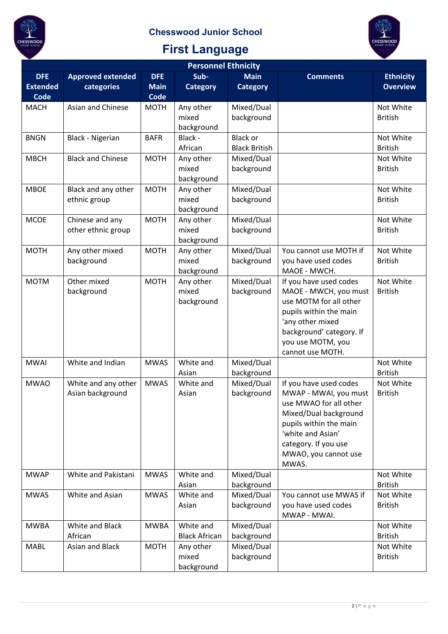



| <b>Personnel Ethnicity</b>    |                                         |                           |                                   |                                         |                                                                                                                                                                                                            |                                     |  |  |
|-------------------------------|-----------------------------------------|---------------------------|-----------------------------------|-----------------------------------------|------------------------------------------------------------------------------------------------------------------------------------------------------------------------------------------------------------|-------------------------------------|--|--|
| <b>DFE</b><br><b>Extended</b> | <b>Approved extended</b><br>categories  | <b>DFE</b><br><b>Main</b> | Sub-<br><b>Category</b>           | <b>Main</b><br><b>Category</b>          | <b>Comments</b>                                                                                                                                                                                            | <b>Ethnicity</b><br><b>Overview</b> |  |  |
| <b>Code</b>                   |                                         | <b>Code</b>               |                                   |                                         |                                                                                                                                                                                                            |                                     |  |  |
| <b>MACH</b>                   | Asian and Chinese                       | <b>MOTH</b>               | Any other<br>mixed<br>background  | Mixed/Dual<br>background                |                                                                                                                                                                                                            | Not White<br><b>British</b>         |  |  |
| <b>BNGN</b>                   | Black - Nigerian                        | <b>BAFR</b>               | Black -<br>African                | <b>Black or</b><br><b>Black British</b> |                                                                                                                                                                                                            | Not White<br><b>British</b>         |  |  |
| <b>MBCH</b>                   | <b>Black and Chinese</b>                | <b>MOTH</b>               | Any other<br>mixed<br>background  | Mixed/Dual<br>background                |                                                                                                                                                                                                            | Not White<br><b>British</b>         |  |  |
| <b>MBOE</b>                   | Black and any other<br>ethnic group     | <b>MOTH</b>               | Any other<br>mixed<br>background  | Mixed/Dual<br>background                |                                                                                                                                                                                                            | Not White<br><b>British</b>         |  |  |
| <b>MCOE</b>                   | Chinese and any<br>other ethnic group   | <b>MOTH</b>               | Any other<br>mixed<br>background  | Mixed/Dual<br>background                |                                                                                                                                                                                                            | Not White<br><b>British</b>         |  |  |
| <b>MOTH</b>                   | Any other mixed<br>background           | <b>MOTH</b>               | Any other<br>mixed<br>background  | Mixed/Dual<br>background                | You cannot use MOTH if<br>you have used codes<br>MAOE - MWCH.                                                                                                                                              | Not White<br><b>British</b>         |  |  |
| <b>MOTM</b>                   | Other mixed<br>background               | <b>MOTH</b>               | Any other<br>mixed<br>background  | Mixed/Dual<br>background                | If you have used codes<br>MAOE - MWCH, you must<br>use MOTM for all other<br>pupils within the main<br>'any other mixed<br>background' category. If<br>you use MOTM, you<br>cannot use MOTH.               | Not White<br><b>British</b>         |  |  |
| <b>MWAI</b>                   | White and Indian                        | <b>MWAS</b>               | White and<br>Asian                | Mixed/Dual<br>background                |                                                                                                                                                                                                            | Not White<br><b>British</b>         |  |  |
| <b>MWAO</b>                   | White and any other<br>Asian background | <b>MWAS</b>               | White and<br>Asian                | Mixed/Dual<br>background                | If you have used codes<br>MWAP - MWAI, you must<br>use MWAO for all other<br>Mixed/Dual background<br>pupils within the main<br>'white and Asian'<br>category. If you use<br>MWAO, you cannot use<br>MWAS. | Not White<br><b>British</b>         |  |  |
| <b>MWAP</b>                   | White and Pakistani                     | <b>MWAS</b>               | White and<br>Asian                | Mixed/Dual<br>background                |                                                                                                                                                                                                            | Not White<br><b>British</b>         |  |  |
| <b>MWAS</b>                   | White and Asian                         | <b>MWAS</b>               | White and<br>Asian                | Mixed/Dual<br>background                | You cannot use MWAS if<br>you have used codes<br>MWAP - MWAI.                                                                                                                                              | Not White<br><b>British</b>         |  |  |
| <b>MWBA</b>                   | White and Black<br>African              | <b>MWBA</b>               | White and<br><b>Black African</b> | Mixed/Dual<br>background                |                                                                                                                                                                                                            | Not White<br><b>British</b>         |  |  |
| <b>MABL</b>                   | Asian and Black                         | <b>MOTH</b>               | Any other<br>mixed<br>background  | Mixed/Dual<br>background                |                                                                                                                                                                                                            | Not White<br><b>British</b>         |  |  |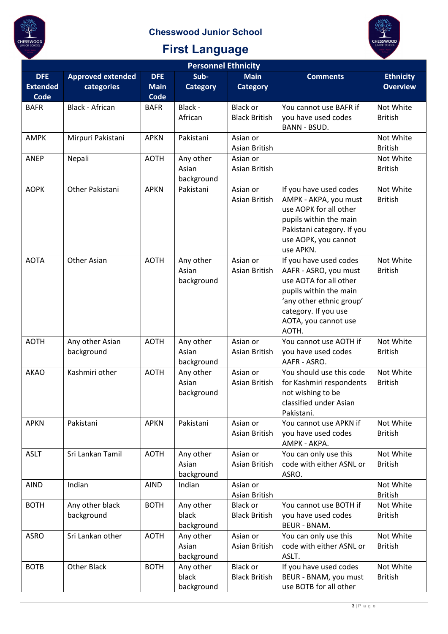



| <b>Personnel Ethnicity</b>            |                                        |                                   |                                  |                                         |                                                                                                                                                                                          |                                     |  |  |
|---------------------------------------|----------------------------------------|-----------------------------------|----------------------------------|-----------------------------------------|------------------------------------------------------------------------------------------------------------------------------------------------------------------------------------------|-------------------------------------|--|--|
| <b>DFE</b><br><b>Extended</b><br>Code | <b>Approved extended</b><br>categories | <b>DFE</b><br><b>Main</b><br>Code | Sub-<br><b>Category</b>          | <b>Main</b><br><b>Category</b>          | <b>Comments</b>                                                                                                                                                                          | <b>Ethnicity</b><br><b>Overview</b> |  |  |
| <b>BAFR</b>                           | Black - African                        | <b>BAFR</b>                       | Black -<br>African               | <b>Black or</b><br><b>Black British</b> | You cannot use BAFR if<br>you have used codes<br><b>BANN - BSUD.</b>                                                                                                                     | Not White<br><b>British</b>         |  |  |
| <b>AMPK</b>                           | Mirpuri Pakistani                      | <b>APKN</b>                       | Pakistani                        | Asian or<br>Asian British               |                                                                                                                                                                                          | Not White<br><b>British</b>         |  |  |
| <b>ANEP</b>                           | Nepali                                 | <b>AOTH</b>                       | Any other<br>Asian<br>background | Asian or<br>Asian British               |                                                                                                                                                                                          | Not White<br><b>British</b>         |  |  |
| <b>AOPK</b>                           | Other Pakistani                        | <b>APKN</b>                       | Pakistani                        | Asian or<br>Asian British               | If you have used codes<br>AMPK - AKPA, you must<br>use AOPK for all other<br>pupils within the main<br>Pakistani category. If you<br>use AOPK, you cannot<br>use APKN.                   | Not White<br><b>British</b>         |  |  |
| <b>AOTA</b>                           | Other Asian                            | <b>AOTH</b>                       | Any other<br>Asian<br>background | Asian or<br>Asian British               | If you have used codes<br>AAFR - ASRO, you must<br>use AOTA for all other<br>pupils within the main<br>'any other ethnic group'<br>category. If you use<br>AOTA, you cannot use<br>AOTH. | Not White<br><b>British</b>         |  |  |
| <b>AOTH</b>                           | Any other Asian<br>background          | <b>AOTH</b>                       | Any other<br>Asian<br>background | Asian or<br>Asian British               | You cannot use AOTH if<br>you have used codes<br>AAFR - ASRO.                                                                                                                            | Not White<br><b>British</b>         |  |  |
| <b>AKAO</b>                           | Kashmiri other                         | <b>AOTH</b>                       | Any other<br>Asian<br>background | Asian or<br>Asian British               | You should use this code<br>for Kashmiri respondents<br>not wishing to be<br>classified under Asian<br>Pakistani.                                                                        | Not White<br><b>British</b>         |  |  |
| <b>APKN</b>                           | Pakistani                              | <b>APKN</b>                       | Pakistani                        | Asian or<br>Asian British               | You cannot use APKN if<br>you have used codes<br>AMPK - AKPA.                                                                                                                            | Not White<br><b>British</b>         |  |  |
| <b>ASLT</b>                           | Sri Lankan Tamil                       | <b>AOTH</b>                       | Any other<br>Asian<br>background | Asian or<br>Asian British               | You can only use this<br>code with either ASNL or<br>ASRO.                                                                                                                               | Not White<br><b>British</b>         |  |  |
| <b>AIND</b>                           | Indian                                 | <b>AIND</b>                       | Indian                           | Asian or<br>Asian British               |                                                                                                                                                                                          | Not White<br><b>British</b>         |  |  |
| <b>BOTH</b>                           | Any other black<br>background          | <b>BOTH</b>                       | Any other<br>black<br>background | <b>Black or</b><br><b>Black British</b> | You cannot use BOTH if<br>you have used codes<br><b>BEUR - BNAM.</b>                                                                                                                     | Not White<br><b>British</b>         |  |  |
| <b>ASRO</b>                           | Sri Lankan other                       | <b>AOTH</b>                       | Any other<br>Asian<br>background | Asian or<br>Asian British               | You can only use this<br>code with either ASNL or<br>ASLT.                                                                                                                               | Not White<br><b>British</b>         |  |  |
| <b>BOTB</b>                           | Other Black                            | <b>BOTH</b>                       | Any other<br>black<br>background | <b>Black or</b><br><b>Black British</b> | If you have used codes<br>BEUR - BNAM, you must<br>use BOTB for all other                                                                                                                | Not White<br><b>British</b>         |  |  |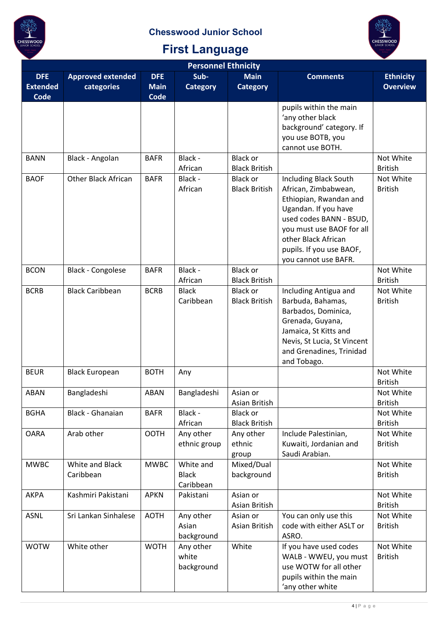

| <b>Personnel Ethnicity</b>            |                                        |                                          |                                        |                                         |                                                                                                                                                                                                                                           |                                     |  |  |
|---------------------------------------|----------------------------------------|------------------------------------------|----------------------------------------|-----------------------------------------|-------------------------------------------------------------------------------------------------------------------------------------------------------------------------------------------------------------------------------------------|-------------------------------------|--|--|
| <b>DFE</b><br><b>Extended</b><br>Code | <b>Approved extended</b><br>categories | <b>DFE</b><br><b>Main</b><br><b>Code</b> | Sub-<br><b>Category</b>                | <b>Main</b><br><b>Category</b>          | <b>Comments</b>                                                                                                                                                                                                                           | <b>Ethnicity</b><br><b>Overview</b> |  |  |
|                                       |                                        |                                          |                                        |                                         | pupils within the main<br>'any other black<br>background' category. If<br>you use BOTB, you<br>cannot use BOTH.                                                                                                                           |                                     |  |  |
| <b>BANN</b>                           | Black - Angolan                        | <b>BAFR</b>                              | Black -<br>African                     | <b>Black or</b><br><b>Black British</b> |                                                                                                                                                                                                                                           | Not White<br><b>British</b>         |  |  |
| <b>BAOF</b>                           | <b>Other Black African</b>             | <b>BAFR</b>                              | Black -<br>African                     | <b>Black or</b><br><b>Black British</b> | <b>Including Black South</b><br>African, Zimbabwean,<br>Ethiopian, Rwandan and<br>Ugandan. If you have<br>used codes BANN - BSUD,<br>you must use BAOF for all<br>other Black African<br>pupils. If you use BAOF,<br>you cannot use BAFR. | Not White<br><b>British</b>         |  |  |
| <b>BCON</b>                           | <b>Black - Congolese</b>               | <b>BAFR</b>                              | Black -<br>African                     | <b>Black or</b><br><b>Black British</b> |                                                                                                                                                                                                                                           | Not White<br><b>British</b>         |  |  |
| <b>BCRB</b>                           | <b>Black Caribbean</b>                 | <b>BCRB</b>                              | <b>Black</b><br>Caribbean              | Black or<br><b>Black British</b>        | Including Antigua and<br>Barbuda, Bahamas,<br>Barbados, Dominica,<br>Grenada, Guyana,<br>Jamaica, St Kitts and<br>Nevis, St Lucia, St Vincent<br>and Grenadines, Trinidad<br>and Tobago.                                                  | Not White<br><b>British</b>         |  |  |
| <b>BEUR</b>                           | <b>Black European</b>                  | <b>BOTH</b>                              | Any                                    |                                         |                                                                                                                                                                                                                                           | Not White<br><b>British</b>         |  |  |
| ABAN                                  | Bangladeshi                            | ABAN                                     | Bangladeshi                            | Asian or<br>Asian British               |                                                                                                                                                                                                                                           | Not White<br><b>British</b>         |  |  |
| <b>BGHA</b>                           | Black - Ghanaian                       | <b>BAFR</b>                              | Black -<br>African                     | <b>Black or</b><br><b>Black British</b> |                                                                                                                                                                                                                                           | Not White<br><b>British</b>         |  |  |
| <b>OARA</b>                           | Arab other                             | <b>OOTH</b>                              | Any other<br>ethnic group              | Any other<br>ethnic<br>group            | Include Palestinian,<br>Kuwaiti, Jordanian and<br>Saudi Arabian.                                                                                                                                                                          | Not White<br><b>British</b>         |  |  |
| <b>MWBC</b>                           | White and Black<br>Caribbean           | <b>MWBC</b>                              | White and<br><b>Black</b><br>Caribbean | Mixed/Dual<br>background                |                                                                                                                                                                                                                                           | Not White<br><b>British</b>         |  |  |
| <b>AKPA</b>                           | Kashmiri Pakistani                     | <b>APKN</b>                              | Pakistani                              | Asian or<br>Asian British               |                                                                                                                                                                                                                                           | Not White<br><b>British</b>         |  |  |
| <b>ASNL</b>                           | Sri Lankan Sinhalese                   | <b>AOTH</b>                              | Any other<br>Asian<br>background       | Asian or<br>Asian British               | You can only use this<br>code with either ASLT or<br>ASRO.                                                                                                                                                                                | Not White<br><b>British</b>         |  |  |
| <b>WOTW</b>                           | White other                            | <b>WOTH</b>                              | Any other<br>white<br>background       | White                                   | If you have used codes<br>WALB - WWEU, you must<br>use WOTW for all other<br>pupils within the main<br>'any other white                                                                                                                   | Not White<br><b>British</b>         |  |  |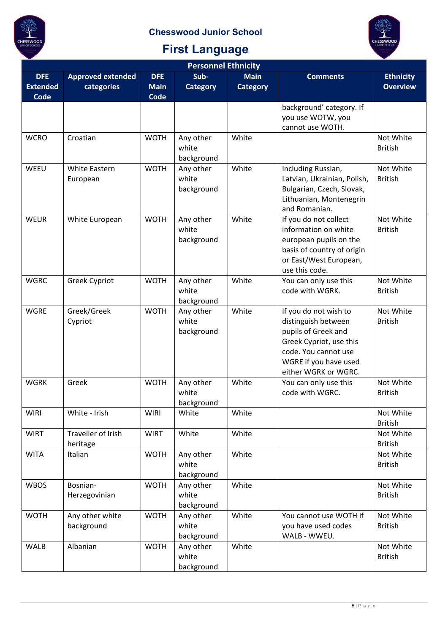

| <b>Personnel Ethnicity</b>            |                                        |                                          |                                  |                                |                                                                                                                                                                         |                                     |  |  |
|---------------------------------------|----------------------------------------|------------------------------------------|----------------------------------|--------------------------------|-------------------------------------------------------------------------------------------------------------------------------------------------------------------------|-------------------------------------|--|--|
| <b>DFE</b><br><b>Extended</b><br>Code | <b>Approved extended</b><br>categories | <b>DFE</b><br><b>Main</b><br><b>Code</b> | Sub-<br><b>Category</b>          | <b>Main</b><br><b>Category</b> | <b>Comments</b>                                                                                                                                                         | <b>Ethnicity</b><br><b>Overview</b> |  |  |
|                                       |                                        |                                          |                                  |                                | background' category. If<br>you use WOTW, you<br>cannot use WOTH.                                                                                                       |                                     |  |  |
| <b>WCRO</b>                           | Croatian                               | <b>WOTH</b>                              | Any other<br>white<br>background | White                          |                                                                                                                                                                         | Not White<br><b>British</b>         |  |  |
| WEEU                                  | White Eastern<br>European              | <b>WOTH</b>                              | Any other<br>white<br>background | White                          | Including Russian,<br>Latvian, Ukrainian, Polish,<br>Bulgarian, Czech, Slovak,<br>Lithuanian, Montenegrin<br>and Romanian.                                              | Not White<br><b>British</b>         |  |  |
| <b>WEUR</b>                           | White European                         | <b>WOTH</b>                              | Any other<br>white<br>background | White                          | If you do not collect<br>information on white<br>european pupils on the<br>basis of country of origin<br>or East/West European,<br>use this code.                       | Not White<br><b>British</b>         |  |  |
| <b>WGRC</b>                           | <b>Greek Cypriot</b>                   | <b>WOTH</b>                              | Any other<br>white<br>background | White                          | You can only use this<br>code with WGRK.                                                                                                                                | Not White<br><b>British</b>         |  |  |
| <b>WGRE</b>                           | Greek/Greek<br>Cypriot                 | <b>WOTH</b>                              | Any other<br>white<br>background | White                          | If you do not wish to<br>distinguish between<br>pupils of Greek and<br>Greek Cypriot, use this<br>code. You cannot use<br>WGRE if you have used<br>either WGRK or WGRC. | Not White<br><b>British</b>         |  |  |
| <b>WGRK</b>                           | Greek                                  | <b>WOTH</b>                              | Any other<br>white<br>background | White                          | You can only use this<br>code with WGRC.                                                                                                                                | Not White<br><b>British</b>         |  |  |
| <b>WIRI</b>                           | White - Irish                          | <b>WIRI</b>                              | White                            | White                          |                                                                                                                                                                         | Not White<br><b>British</b>         |  |  |
| <b>WIRT</b>                           | <b>Traveller of Irish</b><br>heritage  | <b>WIRT</b>                              | White                            | White                          |                                                                                                                                                                         | Not White<br><b>British</b>         |  |  |
| <b>WITA</b>                           | Italian                                | <b>WOTH</b>                              | Any other<br>white<br>background | White                          |                                                                                                                                                                         | Not White<br><b>British</b>         |  |  |
| <b>WBOS</b>                           | Bosnian-<br>Herzegovinian              | <b>WOTH</b>                              | Any other<br>white<br>background | White                          |                                                                                                                                                                         | Not White<br><b>British</b>         |  |  |
| <b>WOTH</b>                           | Any other white<br>background          | <b>WOTH</b>                              | Any other<br>white<br>background | White                          | You cannot use WOTH if<br>you have used codes<br>WALB - WWEU.                                                                                                           | Not White<br><b>British</b>         |  |  |
| <b>WALB</b>                           | Albanian                               | <b>WOTH</b>                              | Any other<br>white<br>background | White                          |                                                                                                                                                                         | Not White<br><b>British</b>         |  |  |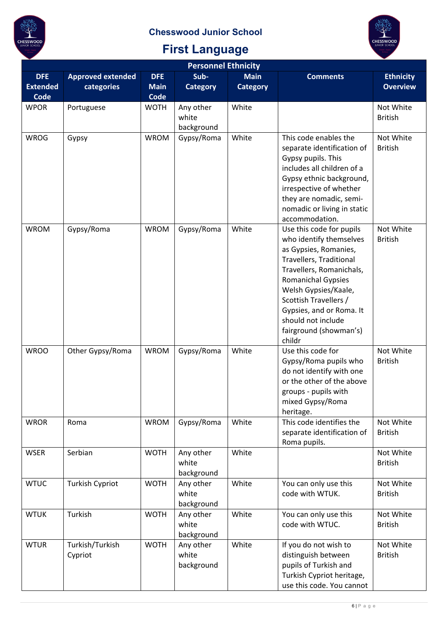



| <b>Personnel Ethnicity</b>            |                                        |                                          |                                  |                                |                                                                                                                                                                                                                                                                                                         |                                     |  |  |
|---------------------------------------|----------------------------------------|------------------------------------------|----------------------------------|--------------------------------|---------------------------------------------------------------------------------------------------------------------------------------------------------------------------------------------------------------------------------------------------------------------------------------------------------|-------------------------------------|--|--|
| <b>DFE</b><br><b>Extended</b><br>Code | <b>Approved extended</b><br>categories | <b>DFE</b><br><b>Main</b><br><b>Code</b> | Sub-<br><b>Category</b>          | <b>Main</b><br><b>Category</b> | <b>Comments</b>                                                                                                                                                                                                                                                                                         | <b>Ethnicity</b><br><b>Overview</b> |  |  |
| <b>WPOR</b>                           | Portuguese                             | <b>WOTH</b>                              | Any other<br>white<br>background | White                          |                                                                                                                                                                                                                                                                                                         | Not White<br><b>British</b>         |  |  |
| <b>WROG</b>                           | Gypsy                                  | <b>WROM</b>                              | Gypsy/Roma                       | White                          | This code enables the<br>separate identification of<br>Gypsy pupils. This<br>includes all children of a<br>Gypsy ethnic background,<br>irrespective of whether<br>they are nomadic, semi-<br>nomadic or living in static<br>accommodation.                                                              | Not White<br><b>British</b>         |  |  |
| <b>WROM</b>                           | Gypsy/Roma                             | <b>WROM</b>                              | Gypsy/Roma                       | White                          | Use this code for pupils<br>who identify themselves<br>as Gypsies, Romanies,<br>Travellers, Traditional<br>Travellers, Romanichals,<br><b>Romanichal Gypsies</b><br>Welsh Gypsies/Kaale,<br>Scottish Travellers /<br>Gypsies, and or Roma. It<br>should not include<br>fairground (showman's)<br>childr | Not White<br><b>British</b>         |  |  |
| <b>WROO</b>                           | Other Gypsy/Roma                       | <b>WROM</b>                              | Gypsy/Roma                       | White                          | Use this code for<br>Gypsy/Roma pupils who<br>do not identify with one<br>or the other of the above<br>groups - pupils with<br>mixed Gypsy/Roma<br>heritage.                                                                                                                                            | Not White<br><b>British</b>         |  |  |
| <b>WROR</b>                           | Roma                                   | <b>WROM</b>                              | Gypsy/Roma                       | White                          | This code identifies the<br>separate identification of<br>Roma pupils.                                                                                                                                                                                                                                  | Not White<br><b>British</b>         |  |  |
| <b>WSER</b>                           | Serbian                                | <b>WOTH</b>                              | Any other<br>white<br>background | White                          |                                                                                                                                                                                                                                                                                                         | Not White<br><b>British</b>         |  |  |
| <b>WTUC</b>                           | <b>Turkish Cypriot</b>                 | <b>WOTH</b>                              | Any other<br>white<br>background | White                          | You can only use this<br>code with WTUK.                                                                                                                                                                                                                                                                | Not White<br><b>British</b>         |  |  |
| <b>WTUK</b>                           | Turkish                                | <b>WOTH</b>                              | Any other<br>white<br>background | White                          | You can only use this<br>code with WTUC.                                                                                                                                                                                                                                                                | Not White<br><b>British</b>         |  |  |
| <b>WTUR</b>                           | Turkish/Turkish<br>Cypriot             | <b>WOTH</b>                              | Any other<br>white<br>background | White                          | If you do not wish to<br>distinguish between<br>pupils of Turkish and<br>Turkish Cypriot heritage,<br>use this code. You cannot                                                                                                                                                                         | Not White<br><b>British</b>         |  |  |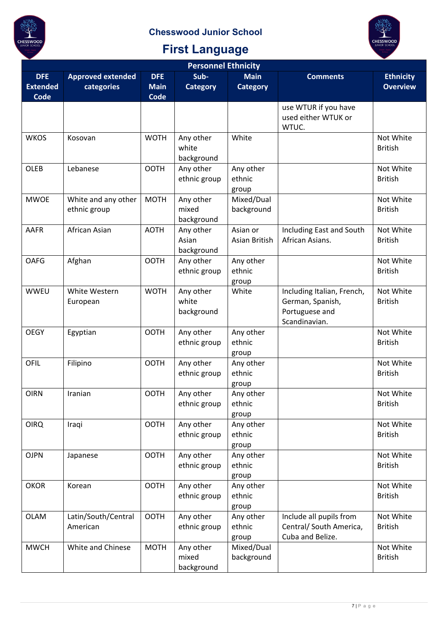



| <b>Personnel Ethnicity</b>                   |                                        |                                          |                                  |                                |                                                                                   |                                     |  |  |
|----------------------------------------------|----------------------------------------|------------------------------------------|----------------------------------|--------------------------------|-----------------------------------------------------------------------------------|-------------------------------------|--|--|
| <b>DFE</b><br><b>Extended</b><br><b>Code</b> | <b>Approved extended</b><br>categories | <b>DFE</b><br><b>Main</b><br><b>Code</b> | Sub-<br><b>Category</b>          | <b>Main</b><br><b>Category</b> | <b>Comments</b>                                                                   | <b>Ethnicity</b><br><b>Overview</b> |  |  |
|                                              |                                        |                                          |                                  |                                | use WTUR if you have<br>used either WTUK or<br>WTUC.                              |                                     |  |  |
| <b>WKOS</b>                                  | Kosovan                                | <b>WOTH</b>                              | Any other<br>white<br>background | White                          |                                                                                   | Not White<br><b>British</b>         |  |  |
| <b>OLEB</b>                                  | Lebanese                               | <b>OOTH</b>                              | Any other<br>ethnic group        | Any other<br>ethnic<br>group   |                                                                                   | Not White<br><b>British</b>         |  |  |
| <b>MWOE</b>                                  | White and any other<br>ethnic group    | <b>MOTH</b>                              | Any other<br>mixed<br>background | Mixed/Dual<br>background       |                                                                                   | Not White<br><b>British</b>         |  |  |
| <b>AAFR</b>                                  | African Asian                          | <b>AOTH</b>                              | Any other<br>Asian<br>background | Asian or<br>Asian British      | Including East and South<br>African Asians.                                       | Not White<br><b>British</b>         |  |  |
| <b>OAFG</b>                                  | Afghan                                 | <b>OOTH</b>                              | Any other<br>ethnic group        | Any other<br>ethnic<br>group   |                                                                                   | Not White<br><b>British</b>         |  |  |
| <b>WWEU</b>                                  | White Western<br>European              | <b>WOTH</b>                              | Any other<br>white<br>background | White                          | Including Italian, French,<br>German, Spanish,<br>Portuguese and<br>Scandinavian. | Not White<br><b>British</b>         |  |  |
| <b>OEGY</b>                                  | Egyptian                               | <b>OOTH</b>                              | Any other<br>ethnic group        | Any other<br>ethnic<br>group   |                                                                                   | Not White<br><b>British</b>         |  |  |
| <b>OFIL</b>                                  | Filipino                               | <b>OOTH</b>                              | Any other<br>ethnic group        | Any other<br>ethnic<br>group   |                                                                                   | Not White<br><b>British</b>         |  |  |
| <b>OIRN</b>                                  | Iranian                                | <b>OOTH</b>                              | Any other<br>ethnic group        | Any other<br>ethnic<br>group   |                                                                                   | Not White<br><b>British</b>         |  |  |
| <b>OIRQ</b>                                  | Iraqi                                  | <b>OOTH</b>                              | Any other<br>ethnic group        | Any other<br>ethnic<br>group   |                                                                                   | Not White<br><b>British</b>         |  |  |
| <b>OJPN</b>                                  | Japanese                               | <b>OOTH</b>                              | Any other<br>ethnic group        | Any other<br>ethnic<br>group   |                                                                                   | Not White<br><b>British</b>         |  |  |
| <b>OKOR</b>                                  | Korean                                 | <b>OOTH</b>                              | Any other<br>ethnic group        | Any other<br>ethnic<br>group   |                                                                                   | Not White<br><b>British</b>         |  |  |
| <b>OLAM</b>                                  | Latin/South/Central<br>American        | <b>OOTH</b>                              | Any other<br>ethnic group        | Any other<br>ethnic<br>group   | Include all pupils from<br>Central/ South America,<br>Cuba and Belize.            | Not White<br><b>British</b>         |  |  |
| <b>MWCH</b>                                  | White and Chinese                      | <b>MOTH</b>                              | Any other<br>mixed<br>background | Mixed/Dual<br>background       |                                                                                   | Not White<br><b>British</b>         |  |  |